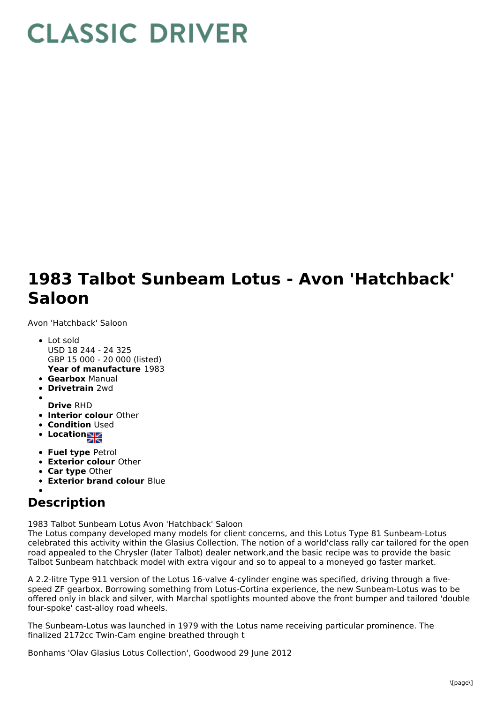## **CLASSIC DRIVER**

## **1983 Talbot Sunbeam Lotus - Avon 'Hatchback' Saloon**

Avon 'Hatchback' Saloon

- **Year of manufacture** 1983 Lot sold USD 18 244 - 24 325 GBP 15 000 - 20 000 (listed)
- **Gearbox** Manual
- **Drivetrain** 2wd
- **Drive** RHD
- **Interior colour** Other
- **Condition Used**
- **Location**
- **Fuel type** Petrol
- **Exterior colour** Other
- **Car type** Other
- **Exterior brand colour** Blue

## **Description**

1983 Talbot Sunbeam Lotus Avon 'Hatchback' Saloon

The Lotus company developed many models for client concerns, and this Lotus Type 81 Sunbeam-Lotus celebrated this activity within the Glasius Collection. The notion of a world'class rally car tailored for the open road appealed to the Chrysler (later Talbot) dealer network,and the basic recipe was to provide the basic Talbot Sunbeam hatchback model with extra vigour and so to appeal to a moneyed go faster market.

A 2.2-litre Type 911 version of the Lotus 16-valve 4-cylinder engine was specified, driving through a fivespeed ZF gearbox. Borrowing something from Lotus-Cortina experience, the new Sunbeam-Lotus was to be offered only in black and silver, with Marchal spotlights mounted above the front bumper and tailored 'double four-spoke' cast-alloy road wheels.

The Sunbeam-Lotus was launched in 1979 with the Lotus name receiving particular prominence. The finalized 2172cc Twin-Cam engine breathed through t

Bonhams 'Olav Glasius Lotus Collection', Goodwood 29 June 2012